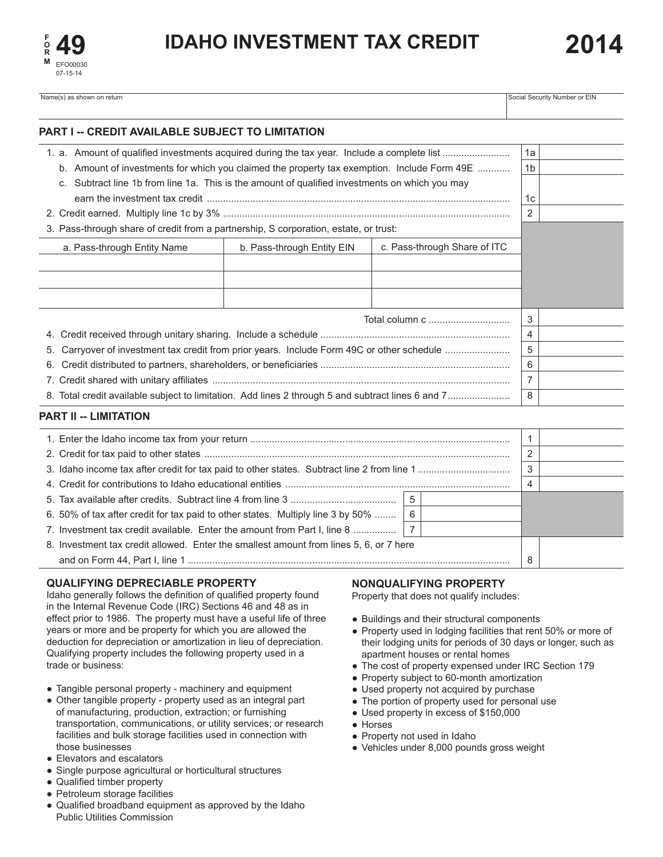

Name(s) as shown on return Social Security Number or EIN Social Security Number or EIN

| PART I -- CREDIT AVAILABLE SUBJECT TO LIMITATION                                               |  |  |  |                     |  |
|------------------------------------------------------------------------------------------------|--|--|--|---------------------|--|
|                                                                                                |  |  |  | 1a                  |  |
| b. Amount of investments for which you claimed the property tax exemption. Include Form 49E    |  |  |  | 1 <sub>b</sub>      |  |
| c. Subtract line 1b from line 1a. This is the amount of qualified investments on which you may |  |  |  |                     |  |
|                                                                                                |  |  |  | 1с                  |  |
|                                                                                                |  |  |  | 2                   |  |
| 3. Pass-through share of credit from a partnership, S corporation, estate, or trust:           |  |  |  |                     |  |
| c. Pass-through Share of ITC<br>a. Pass-through Entity Name<br>b. Pass-through Entity EIN      |  |  |  |                     |  |
|                                                                                                |  |  |  |                     |  |
|                                                                                                |  |  |  |                     |  |
|                                                                                                |  |  |  |                     |  |
|                                                                                                |  |  |  |                     |  |
| Total column c                                                                                 |  |  |  | 3<br>$\overline{4}$ |  |
| Carryover of investment tax credit from prior years. Include Form 49C or other schedule<br>5.  |  |  |  | 5                   |  |
| 6.                                                                                             |  |  |  | 6                   |  |
|                                                                                                |  |  |  | $\overline{7}$      |  |
|                                                                                                |  |  |  | 8                   |  |
|                                                                                                |  |  |  |                     |  |
| <b>PART II -- LIMITATION</b>                                                                   |  |  |  |                     |  |
|                                                                                                |  |  |  | 1                   |  |
|                                                                                                |  |  |  | 2                   |  |
|                                                                                                |  |  |  | 3                   |  |
|                                                                                                |  |  |  | 4                   |  |
| 5                                                                                              |  |  |  |                     |  |
| 6<br>6. 50% of tax after credit for tax paid to other states. Multiply line 3 by 50%           |  |  |  |                     |  |
| $\overline{7}$<br>7. Investment tax credit available. Enter the amount from Part I, line 8     |  |  |  |                     |  |
| 8. Investment tax credit allowed. Enter the smallest amount from lines 5, 6, or 7 here         |  |  |  |                     |  |
|                                                                                                |  |  |  | 8                   |  |

# **QUALIFYING DEPRECIABLE PROPERTY**

Idaho generally follows the definition of qualified property found in the Internal Revenue Code (IRC) Sections 46 and 48 as in effect prior to 1986. The property must have a useful life of three years or more and be property for which you are allowed the deduction for depreciation or amortization in lieu of depreciation. Qualifying property includes the following property used in a trade or business:

- Tangible personal property machinery and equipment
- Other tangible property property used as an integral part of manufacturing, production, extraction; or furnishing transportation, communications, or utility services; or research facilities and bulk storage facilities used in connection with those businesses
- Elevators and escalators
- Single purpose agricultural or horticultural structures
- Qualified timber property
- Petroleum storage facilities
- Qualified broadband equipment as approved by the Idaho Public Utilities Commission

# **NONQUALIFYING PROPERTY**

Property that does not qualify includes:

- Buildings and their structural components
- Property used in lodging facilities that rent 50% or more of their lodging units for periods of 30 days or longer, such as apartment houses or rental homes
- The cost of property expensed under IRC Section 179
- Property subject to 60-month amortization
- Used property not acquired by purchase
- The portion of property used for personal use
- Used property in excess of \$150,000
- Horses
- Property not used in Idaho
- Vehicles under 8,000 pounds gross weight